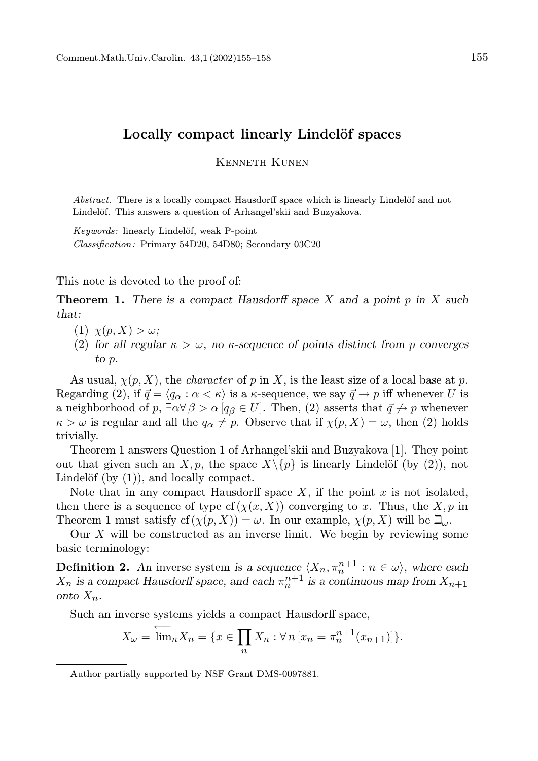## Locally compact linearly Lindelöf spaces

Kenneth Kunen

Abstract. There is a locally compact Hausdorff space which is linearly Lindelöf and not Lindelöf. This answers a question of Arhangel'skii and Buzyakova.

Keywords: linearly Lindelöf, weak P-point

Classification: Primary 54D20, 54D80; Secondary 03C20

This note is devoted to the proof of:

**Theorem 1.** There is a compact Hausdorff space X and a point p in X such that:

- (1)  $\chi(p, X) > \omega$ ;
- (2) for all regular  $\kappa > \omega$ , no  $\kappa$ -sequence of points distinct from p converges to p.

As usual,  $\chi(p, X)$ , the *character* of p in X, is the least size of a local base at p. Regarding (2), if  $\vec{q} = \langle q_\alpha : \alpha < \kappa \rangle$  is a  $\kappa$ -sequence, we say  $\vec{q} \to p$  iff whenever U is a neighborhood of p,  $\exists \alpha \forall \beta > \alpha | q_{\beta} \in U$ . Then, (2) asserts that  $\vec{q} \nrightarrow p$  whenever  $\kappa > \omega$  is regular and all the  $q_{\alpha} \neq p$ . Observe that if  $\chi(p, X) = \omega$ , then (2) holds trivially.

Theorem 1 answers Question 1 of Arhangel'skii and Buzyakova [1]. They point out that given such an X, p, the space  $X\backslash\{p\}$  is linearly Lindelöf (by (2)), not Lindelöf (by  $(1)$ ), and locally compact.

Note that in any compact Hausdorff space  $X$ , if the point  $x$  is not isolated, then there is a sequence of type  $cf(\chi(x, X))$  converging to x. Thus, the X, p in Theorem 1 must satisfy  $cf(\chi(p, X)) = \omega$ . In our example,  $\chi(p, X)$  will be  $\mathbb{Z}_{\omega}$ .

Our  $X$  will be constructed as an inverse limit. We begin by reviewing some basic terminology:

**Definition 2.** An inverse system is a sequence  $\langle X_n, \pi_n^{n+1} : n \in \omega \rangle$ , where each  $X_n$  is a compact Hausdorff space, and each  $\pi_n^{n+1}$  is a continuous map from  $X_{n+1}$ onto  $X_n$ .

Such an inverse systems yields a compact Hausdorff space,

$$
X_{\omega} = \overleftarrow{\lim}_{n} X_{n} = \{ x \in \prod_{n} X_{n} : \forall n \left[ x_{n} = \pi_{n}^{n+1}(x_{n+1}) \right] \}.
$$

Author partially supported by NSF Grant DMS-0097881.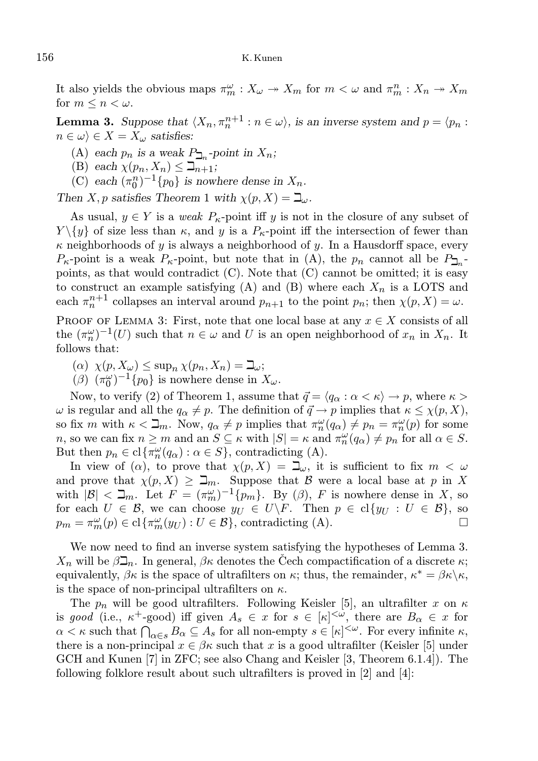## 156 K. Kunen

It also yields the obvious maps  $\pi_m^{\omega}: X_{\omega} \to X_m$  for  $m < \omega$  and  $\pi_m^n: X_n \to X_m$ for  $m \leq n \leq \omega$ .

**Lemma 3.** Suppose that  $\langle X_n, \pi_n^{n+1} : n \in \omega \rangle$ , is an inverse system and  $p = \langle p_n : n \rangle$  $n \in \omega$ )  $\in X = X_\omega$  satisfies:

- (A) each  $p_n$  is a weak  $P_{\square_n}$ -point in  $X_n$ ;
- (B) each  $\chi(p_n, X_n) \leq \beth_{n+1};$
- (C) each  $(\pi_0^n)^{-1} \{p_0\}$  is nowhere dense in  $X_n$ .

Then X, p satisfies Theorem 1 with  $\chi(p, X) = \beth_{\omega}$ .

As usual,  $y \in Y$  is a *weak*  $P_{\kappa}$ -point iff y is not in the closure of any subset of  $Y \setminus \{y\}$  of size less than  $\kappa$ , and y is a  $P_{\kappa}$ -point iff the intersection of fewer than  $\kappa$  neighborhoods of y is always a neighborhood of y. In a Hausdorff space, every  $P_{\kappa}$ -point is a weak  $P_{\kappa}$ -point, but note that in (A), the  $p_n$  cannot all be  $P_{\square_n}$ points, as that would contradict (C). Note that (C) cannot be omitted; it is easy to construct an example satisfying (A) and (B) where each  $X_n$  is a LOTS and each  $\pi_n^{n+1}$  collapses an interval around  $p_{n+1}$  to the point  $p_n$ ; then  $\chi(p, X) = \omega$ .

PROOF OF LEMMA 3: First, note that one local base at any  $x \in X$  consists of all the  $(\pi_n^{\omega})^{-1}(U)$  such that  $n \in \omega$  and U is an open neighborhood of  $x_n$  in  $X_n$ . It follows that:

- $(\alpha) \ \chi(p, X_{\omega}) \leq \sup_n \chi(p_n, X_n) = \beth_{\omega};$
- $(\beta)$   $(\pi_0^{\omega})^{-1}$ {p<sub>0</sub>} is nowhere dense in  $X_{\omega}$ .

Now, to verify (2) of Theorem 1, assume that  $\vec{q} = \langle q_\alpha : \alpha < \kappa \rangle \to p$ , where  $\kappa >$  $\omega$  is regular and all the  $q_{\alpha} \neq p$ . The definition of  $\vec{q} \to p$  implies that  $\kappa \leq \chi(p, X)$ , so fix m with  $\kappa < \mathbf{\Delta}_m$ . Now,  $q_\alpha \neq p$  implies that  $\pi_n^{\omega}(q_\alpha) \neq p_n = \pi_n^{\omega}(p)$  for some *n*, so we can fix  $n \ge m$  and an  $S \subseteq \kappa$  with  $|S| = \kappa$  and  $\pi_n^{\omega}(q_\alpha) \ne p_n$  for all  $\alpha \in S$ . But then  $p_n \in \text{cl}\left\{\pi_n^{\omega}(q_\alpha): \alpha \in S\right\}$ , contradicting (A).

In view of  $(\alpha)$ , to prove that  $\chi(p, X) = \mathbb{L}_{\omega}$ , it is sufficient to fix  $m < \omega$ and prove that  $\chi(p, X) \geq \mathbb{Z}_m$ . Suppose that B were a local base at p in X with  $|\mathcal{B}| < \beth_m$ . Let  $F = (\pi_m^{\omega})^{-1} \{p_m\}$ . By  $(\beta)$ , F is nowhere dense in X, so for each  $U \in \mathcal{B}$ , we can choose  $y_U \in U \backslash F$ . Then  $p \in cl\{y_U : U \in \mathcal{B}\}\)$ , so  $p_m = \pi_m^{\omega}(p) \in \text{cl}\{\pi_m^{\omega}(y_U) : U \in \mathcal{B}\},\$ contradicting (A).

We now need to find an inverse system satisfying the hypotheses of Lemma 3.  $X_n$  will be  $\beta \mathcal{L}_n$ . In general,  $\beta \kappa$  denotes the Cech compactification of a discrete  $\kappa$ ; equivalently,  $\beta \kappa$  is the space of ultrafilters on  $\kappa$ ; thus, the remainder,  $\kappa^* = \beta \kappa \backslash \kappa$ , is the space of non-principal ultrafilters on  $\kappa$ .

The  $p_n$  will be good ultrafilters. Following Keisler [5], an ultrafilter x on  $\kappa$ is good (i.e.,  $\kappa^+$ -good) iff given  $A_s \in x$  for  $s \in [\kappa]^{<\omega}$ , there are  $B_\alpha \in x$  for  $\alpha < \kappa$  such that  $\bigcap_{\alpha \in s} B_{\alpha} \subseteq A_s$  for all non-empty  $s \in [\kappa]^{<\omega}$ . For every infinite  $\kappa$ , there is a non-principal  $x \in \beta \kappa$  such that x is a good ultrafilter (Keisler [5] under GCH and Kunen [7] in ZFC; see also Chang and Keisler [3, Theorem 6.1.4]). The following folklore result about such ultrafilters is proved in [2] and [4]: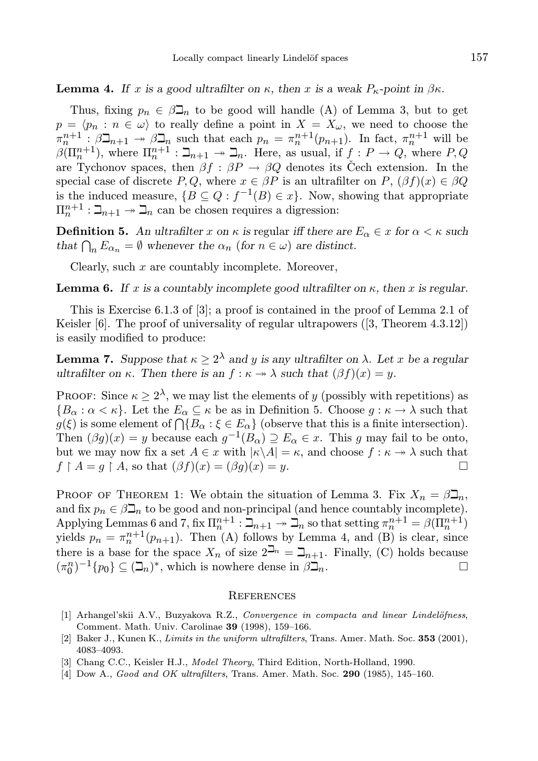**Lemma 4.** If x is a good ultrafilter on  $\kappa$ , then x is a weak  $P_{\kappa}$ -point in  $\beta \kappa$ .

Thus, fixing  $p_n \in \beta \mathcal{I}_n$  to be good will handle (A) of Lemma 3, but to get  $p = \langle p_n : n \in \omega \rangle$  to really define a point in  $X = X_{\omega}$ , we need to choose the  $\pi_n^{n+1}$ :  $\beta \mathfrak{D}_{n+1} \to \beta \mathfrak{D}_n$  such that each  $p_n = \pi_n^{n+1}(p_{n+1})$ . In fact,  $\pi_n^{n+1}$  will be  $\beta(\Pi_n^{n+1})$ , where  $\Pi_n^{n+1}$  :  $\beth_{n+1} \twoheadrightarrow \beth_n$ . Here, as usual, if  $f : P \to Q$ , where  $P, Q$ are Tychonov spaces, then  $\beta f : \beta P \to \beta Q$  denotes its Čech extension. In the special case of discrete P, Q, where  $x \in \beta P$  is an ultrafilter on P,  $(\beta f)(x) \in \beta Q$ is the induced measure,  $\{B \subseteq Q : f^{-1}(B) \in x\}$ . Now, showing that appropriate  $\Pi_n^{n+1}: \mathbb{Z}_{n+1} \to \mathbb{Z}_n$  can be chosen requires a digression:

**Definition 5.** An ultrafilter x on  $\kappa$  is regular iff there are  $E_{\alpha} \in x$  for  $\alpha < \kappa$  such that  $\bigcap_n E_{\alpha_n} = \emptyset$  whenever the  $\alpha_n$  (for  $n \in \omega$ ) are distinct.

Clearly, such  $x$  are countably incomplete. Moreover,

**Lemma 6.** If x is a countably incomplete good ultrafilter on  $\kappa$ , then x is regular.

This is Exercise 6.1.3 of [3]; a proof is contained in the proof of Lemma 2.1 of Keisler [6]. The proof of universality of regular ultrapowers ([3, Theorem 4.3.12]) is easily modified to produce:

**Lemma 7.** Suppose that  $\kappa \geq 2^{\lambda}$  and y is any ultrafilter on  $\lambda$ . Let x be a regular ultrafilter on κ. Then there is an  $f : \kappa \to \lambda$  such that  $(\beta f)(x) = y$ .

PROOF: Since  $\kappa \geq 2^{\lambda}$ , we may list the elements of y (possibly with repetitions) as  ${B_\alpha : \alpha < \kappa}$ . Let the  $E_\alpha \subseteq \kappa$  be as in Definition 5. Choose  $g : \kappa \to \lambda$  such that  $g(\xi)$  is some element of  $\bigcap \{B_\alpha : \xi \in E_\alpha\}$  (observe that this is a finite intersection). Then  $(\beta g)(x) = y$  because each  $g^{-1}(B_\alpha) \supseteq E_\alpha \in x$ . This g may fail to be onto, but we may now fix a set  $A \in x$  with  $|\kappa \backslash A| = \kappa$ , and choose  $f : \kappa \to \lambda$  such that  $f \upharpoonright A = q \upharpoonright A$ , so that  $(\beta f)(x) = (\beta q)(x) = y$ .

PROOF OF THEOREM 1: We obtain the situation of Lemma 3. Fix  $X_n = \beta \mathbb{Z}_n$ , and fix  $p_n \in \beta \mathcal{L}_n$  to be good and non-principal (and hence countably incomplete). Applying Lemmas 6 and 7, fix  $\Pi_n^{n+1}$  :  $\Box_{n+1} \to \Box_n$  so that setting  $\pi_n^{n+1} = \beta(\Pi_n^{n+1})$ yields  $p_n = \pi_n^{n+1}(p_{n+1})$ . Then (A) follows by Lemma 4, and (B) is clear, since there is a base for the space  $X_n$  of size  $2^{\square_n} = \square_{n+1}$ . Finally, (C) holds because  $(\pi_0^n)^{-1} \{p_0\} \subseteq (\mathcal{I}_n)^*$ , which is nowhere dense in  $\beta \mathcal{I}_n$ .

## **REFERENCES**

- [1] Arhangel'skii A.V., Buzyakova R.Z., Convergence in compacta and linear Lindelöfness, Comment. Math. Univ. Carolinae 39 (1998), 159–166.
- [2] Baker J., Kunen K., Limits in the uniform ultrafilters, Trans. Amer. Math. Soc. 353 (2001), 4083–4093.
- [3] Chang C.C., Keisler H.J., Model Theory, Third Edition, North-Holland, 1990.
- [4] Dow A., Good and OK ultrafilters, Trans. Amer. Math. Soc. 290 (1985), 145-160.